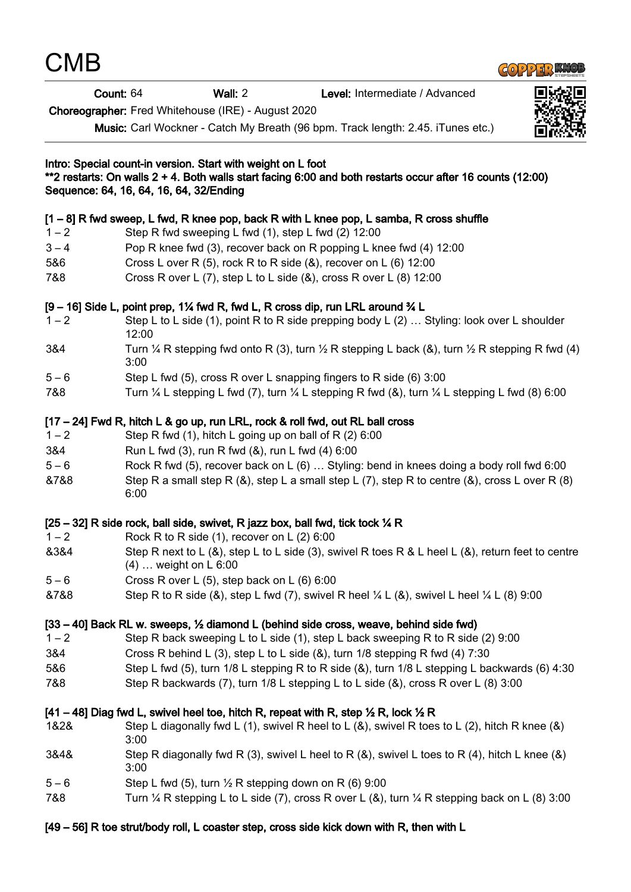| <b>CMB</b>                              |       |                                                                                                                                                                                                                                                                                                                                                                                           |  |                                |  |
|-----------------------------------------|-------|-------------------------------------------------------------------------------------------------------------------------------------------------------------------------------------------------------------------------------------------------------------------------------------------------------------------------------------------------------------------------------------------|--|--------------------------------|--|
| Count: 64                               |       | Wall: 2                                                                                                                                                                                                                                                                                                                                                                                   |  | Level: Intermediate / Advanced |  |
|                                         |       | Choreographer: Fred Whitehouse (IRE) - August 2020                                                                                                                                                                                                                                                                                                                                        |  |                                |  |
|                                         |       | Music: Carl Wockner - Catch My Breath (96 bpm. Track length: 2.45. iTunes etc.)                                                                                                                                                                                                                                                                                                           |  |                                |  |
| Sequence: 64, 16, 64, 16, 64, 32/Ending |       | Intro: Special count-in version. Start with weight on L foot<br>**2 restarts: On walls 2 + 4. Both walls start facing 6:00 and both restarts occur after 16 counts (12:00)                                                                                                                                                                                                                |  |                                |  |
|                                         |       | $[1-8]$ R fwd sweep, L fwd, R knee pop, back R with L knee pop, L samba, R cross shuffle                                                                                                                                                                                                                                                                                                  |  |                                |  |
| $1 - 2$                                 |       | Step R fwd sweeping L fwd (1), step L fwd (2) 12:00                                                                                                                                                                                                                                                                                                                                       |  |                                |  |
| $3 - 4$                                 |       | Pop R knee fwd (3), recover back on R popping L knee fwd (4) 12:00                                                                                                                                                                                                                                                                                                                        |  |                                |  |
| 5&6                                     |       | Cross L over R (5), rock R to R side (&), recover on L (6) 12:00                                                                                                                                                                                                                                                                                                                          |  |                                |  |
| 7&8                                     |       | Cross R over L (7), step L to L side (&), cross R over L (8) 12:00                                                                                                                                                                                                                                                                                                                        |  |                                |  |
|                                         |       | [9 – 16] Side L, point prep, 1¼ fwd R, fwd L, R cross dip, run LRL around ¾ L                                                                                                                                                                                                                                                                                                             |  |                                |  |
| $1 - 2$                                 | 12:00 | Step L to L side (1), point R to R side prepping body L (2)  Styling: look over L shoulder                                                                                                                                                                                                                                                                                                |  |                                |  |
| 3&4                                     | 3:00  | Turn $\frac{1}{4}$ R stepping fwd onto R (3), turn $\frac{1}{2}$ R stepping L back (&), turn $\frac{1}{2}$ R stepping R fwd (4)                                                                                                                                                                                                                                                           |  |                                |  |
| $5 - 6$                                 |       | Step L fwd (5), cross R over L snapping fingers to R side (6) 3:00                                                                                                                                                                                                                                                                                                                        |  |                                |  |
| 7&8                                     |       | Turn $\frac{1}{4}$ L stepping L fwd (7), turn $\frac{1}{4}$ L stepping R fwd (8), turn $\frac{1}{4}$ L stepping L fwd (8) 6:00                                                                                                                                                                                                                                                            |  |                                |  |
| $1 - 2$<br>3&4<br>$5 - 6$<br>&7&8       | 6:00  | [17 – 24] Fwd R, hitch L & go up, run LRL, rock & roll fwd, out RL ball cross<br>Step R fwd (1), hitch L going up on ball of R (2) 6:00<br>Run L fwd (3), run R fwd (&), run L fwd (4) 6:00<br>Rock R fwd (5), recover back on L (6)  Styling: bend in knees doing a body roll fwd 6:00<br>Step R a small step R (&), step L a small step L (7), step R to centre (&), cross L over R (8) |  |                                |  |
|                                         |       | [25 – 32] R side rock, ball side, swivet, R jazz box, ball fwd, tick tock $\frac{1}{4}$ R                                                                                                                                                                                                                                                                                                 |  |                                |  |
| $1 - 2$                                 |       | Rock R to R side $(1)$ , recover on L $(2)$ 6:00                                                                                                                                                                                                                                                                                                                                          |  |                                |  |
| 8384                                    |       | Step R next to L (&), step L to L side (3), swivel R toes R & L heel L (&), return feet to centre<br>$(4)$ weight on L 6:00                                                                                                                                                                                                                                                               |  |                                |  |
| $5 - 6$                                 |       | Cross R over L $(5)$ , step back on L $(6)$ 6:00                                                                                                                                                                                                                                                                                                                                          |  |                                |  |
| &7&8                                    |       | Step R to R side (&), step L fwd (7), swivel R heel $\frac{1}{4}$ L (&), swivel L heel $\frac{1}{4}$ L (8) 9:00                                                                                                                                                                                                                                                                           |  |                                |  |
|                                         |       | [33 – 40] Back RL w. sweeps, 1/2 diamond L (behind side cross, weave, behind side fwd)                                                                                                                                                                                                                                                                                                    |  |                                |  |
| $1 - 2$                                 |       | Step R back sweeping L to L side (1), step L back sweeping R to R side (2) 9:00                                                                                                                                                                                                                                                                                                           |  |                                |  |
| 3&4                                     |       | Cross R behind L (3), step L to L side $(8)$ , turn 1/8 stepping R fwd $(4)$ 7:30                                                                                                                                                                                                                                                                                                         |  |                                |  |
| 5&6                                     |       | Step L fwd (5), turn 1/8 L stepping R to R side (&), turn 1/8 L stepping L backwards (6) 4:30                                                                                                                                                                                                                                                                                             |  |                                |  |
| 7&8                                     |       | Step R backwards (7), turn 1/8 L stepping L to L side (&), cross R over L (8) 3:00                                                                                                                                                                                                                                                                                                        |  |                                |  |
|                                         |       | [41 – 48] Diag fwd L, swivel heel toe, hitch R, repeat with R, step $\frac{1}{2}$ R, lock $\frac{1}{2}$ R                                                                                                                                                                                                                                                                                 |  |                                |  |
| 1&2&                                    | 3:00  | Step L diagonally fwd L (1), swivel R heel to L (&), swivel R toes to L (2), hitch R knee (&)                                                                                                                                                                                                                                                                                             |  |                                |  |
| 3&4&                                    | 3:00  | Step R diagonally fwd R (3), swivel L heel to R ( $\&$ ), swivel L toes to R (4), hitch L knee ( $\&$ )                                                                                                                                                                                                                                                                                   |  |                                |  |
| $5 - 6$                                 |       | Step L fwd (5), turn $\frac{1}{2}$ R stepping down on R (6) 9:00                                                                                                                                                                                                                                                                                                                          |  |                                |  |
| 7&8                                     |       | Turn $\frac{1}{4}$ R stepping L to L side (7), cross R over L (&), turn $\frac{1}{4}$ R stepping back on L (8) 3:00                                                                                                                                                                                                                                                                       |  |                                |  |

[49 – 56] R toe strut/body roll, L coaster step, cross side kick down with R, then with L